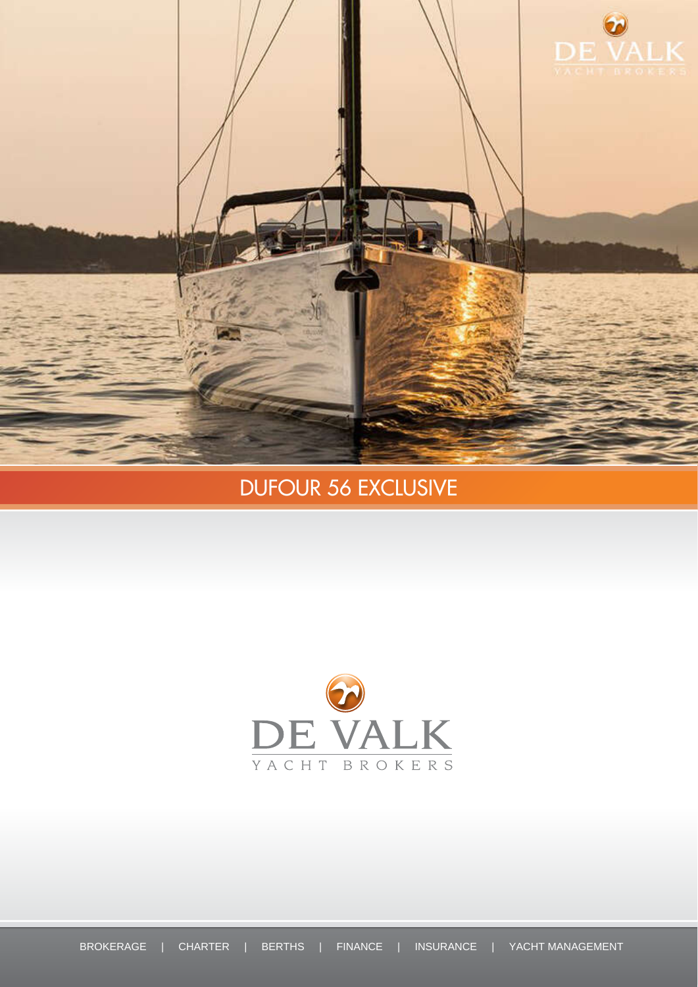

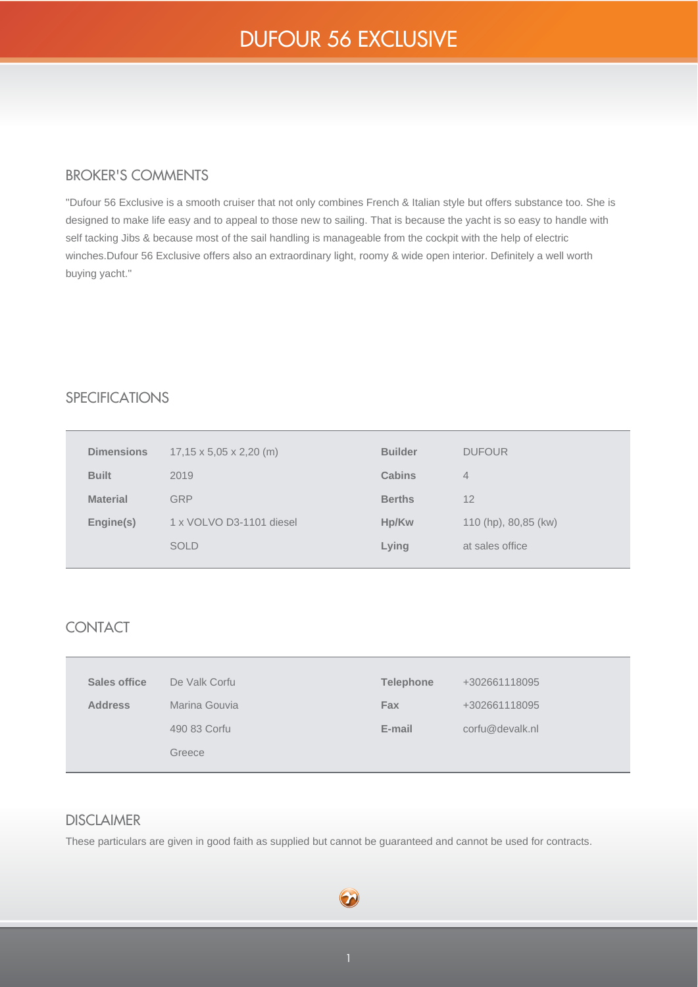#### **BROKER'S COMMENTS**

''Dufour 56 Exclusive is a smooth cruiser that not only combines French & Italian style but offers substance too. She is designed to make life easy and to appeal to those new to sailing. That is because the yacht is so easy to handle with self tacking Jibs & because most of the sail handling is manageable from the cockpit with the help of electric winches.Dufour 56 Exclusive offers also an extraordinary light, roomy & wide open interior. Definitely a well worth buying yacht.''

#### **SPECIFICATIONS**

| <b>Dimensions</b> | $17,15 \times 5,05 \times 2,20$ (m) | <b>Builder</b> | <b>DUFOUR</b>        |
|-------------------|-------------------------------------|----------------|----------------------|
| <b>Built</b>      | 2019                                | Cabins         | 4                    |
| <b>Material</b>   | <b>GRP</b>                          | <b>Berths</b>  | 12                   |
| Engine(s)         | 1 x VOLVO D3-1101 diesel            | Hp/Kw          | 110 (hp), 80,85 (kw) |
|                   | <b>SOLD</b>                         | Lying          | at sales office      |
|                   |                                     |                |                      |

#### **CONTACT**

| Sales office   | De Valk Corfu | <b>Telephone</b> | +302661118095   |
|----------------|---------------|------------------|-----------------|
| <b>Address</b> | Marina Gouvia | <b>Fax</b>       | +302661118095   |
|                | 490 83 Corfu  | E-mail           | corfu@devalk.nl |
|                | Greece        |                  |                 |
|                |               |                  |                 |

#### **DISCLAIMER**

These particulars are given in good faith as supplied but cannot be guaranteed and cannot be used for contracts.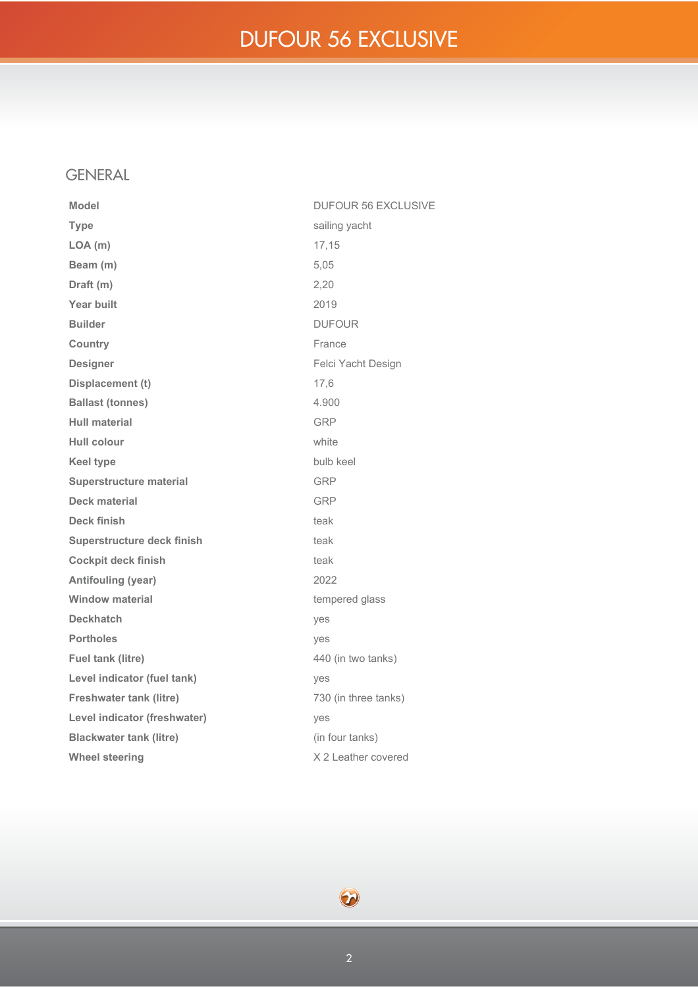#### **GENERAL**

| <b>Model</b>                   | <b>DUFOUR 56 EXCLUSIVE</b> |
|--------------------------------|----------------------------|
| <b>Type</b>                    | sailing yacht              |
| LOA(m)                         | 17,15                      |
| Beam (m)                       | 5,05                       |
| Draft (m)                      | 2,20                       |
| Year built                     | 2019                       |
| <b>Builder</b>                 | <b>DUFOUR</b>              |
| Country                        | France                     |
| <b>Designer</b>                | Felci Yacht Design         |
| Displacement (t)               | 17,6                       |
| <b>Ballast (tonnes)</b>        | 4.900                      |
| <b>Hull material</b>           | GRP                        |
| Hull colour                    | white                      |
| <b>Keel type</b>               | bulb keel                  |
| <b>Superstructure material</b> | <b>GRP</b>                 |
| Deck material                  | <b>GRP</b>                 |
| Deck finish                    | teak                       |
| Superstructure deck finish     | teak                       |
| <b>Cockpit deck finish</b>     | teak                       |
| Antifouling (year)             | 2022                       |
| <b>Window material</b>         | tempered glass             |
| <b>Deckhatch</b>               | yes                        |
| <b>Portholes</b>               | yes                        |
| Fuel tank (litre)              | 440 (in two tanks)         |
| Level indicator (fuel tank)    | ves                        |
| <b>Freshwater tank (litre)</b> | 730 (in three tanks)       |
| Level indicator (freshwater)   | yes                        |
| <b>Blackwater tank (litre)</b> | (in four tanks)            |
| <b>Wheel steering</b>          | X 2 Leather covered        |

 $\bigcirc$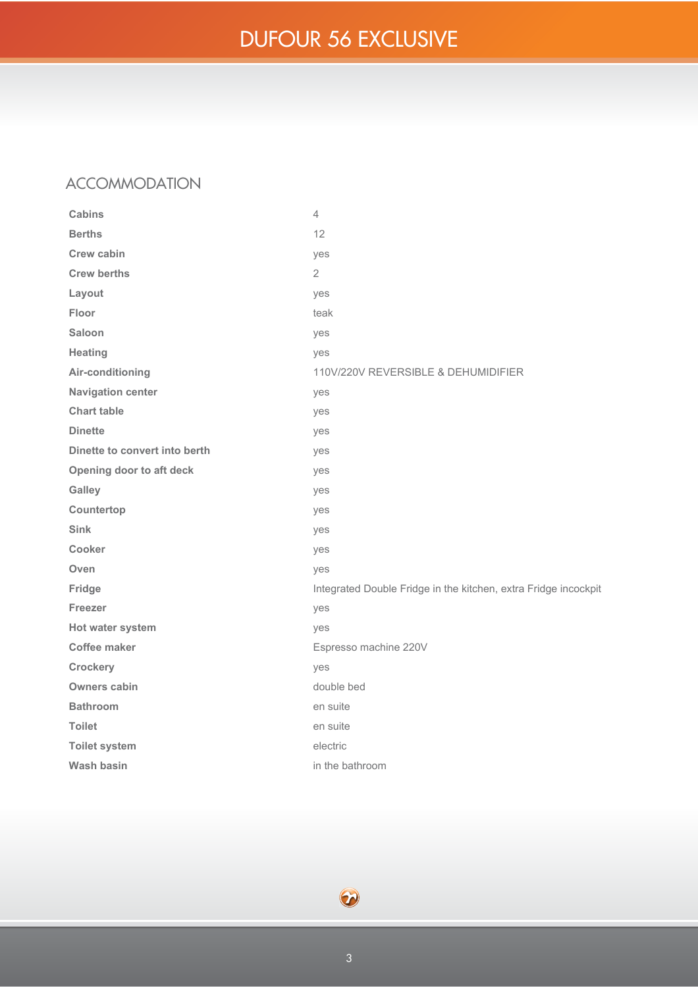### **ACCOMMODATION**

| Cabins                        | 4                                                               |
|-------------------------------|-----------------------------------------------------------------|
| <b>Berths</b>                 | 12                                                              |
| Crew cabin                    | yes                                                             |
| <b>Crew berths</b>            | $\overline{2}$                                                  |
| Layout                        | yes                                                             |
| Floor                         | teak                                                            |
| Saloon                        | yes                                                             |
| Heating                       | yes                                                             |
| Air-conditioning              | 110V/220V REVERSIBLE & DEHUMIDIFIER                             |
| <b>Navigation center</b>      | yes                                                             |
| <b>Chart table</b>            | yes                                                             |
| <b>Dinette</b>                | yes                                                             |
| Dinette to convert into berth | yes                                                             |
| Opening door to aft deck      | yes                                                             |
| Galley                        | yes                                                             |
| Countertop                    | yes                                                             |
| <b>Sink</b>                   | yes                                                             |
| Cooker                        | yes                                                             |
| Oven                          | yes                                                             |
| Fridge                        | Integrated Double Fridge in the kitchen, extra Fridge incockpit |
| Freezer                       | yes                                                             |
| Hot water system              | yes                                                             |
| <b>Coffee maker</b>           | Espresso machine 220V                                           |
| Crockery                      | yes                                                             |
| <b>Owners cabin</b>           | double bed                                                      |
| <b>Bathroom</b>               | en suite                                                        |
| <b>Toilet</b>                 | en suite                                                        |
| <b>Toilet system</b>          | electric                                                        |
| <b>Wash basin</b>             | in the bathroom                                                 |

 $\bigcirc$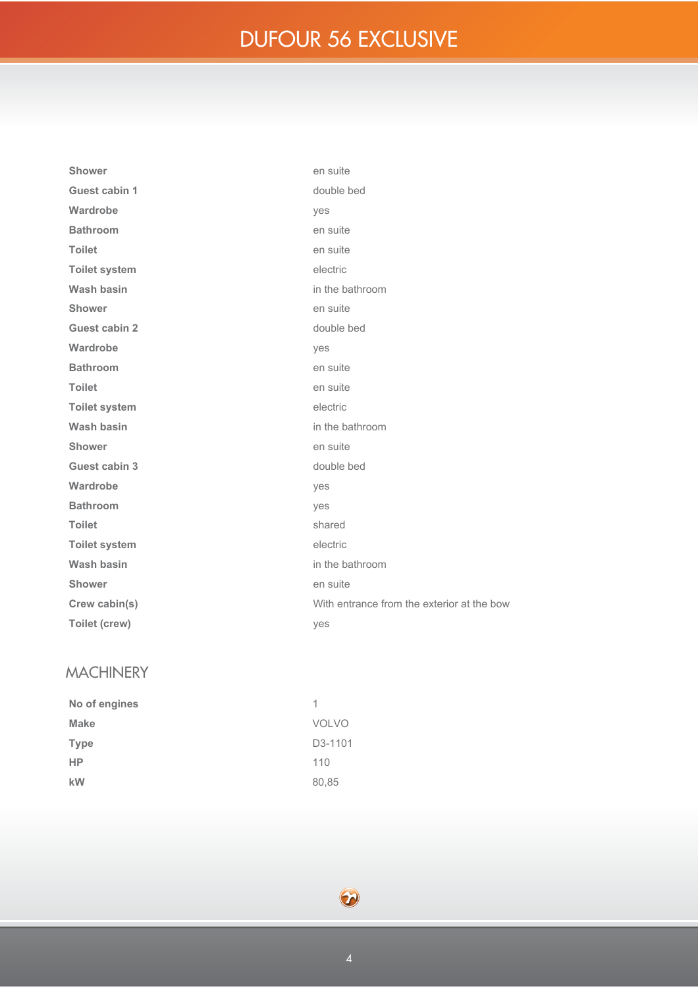| <b>Shower</b>        | en suite                                   |
|----------------------|--------------------------------------------|
| Guest cabin 1        | double bed                                 |
| Wardrobe             | yes                                        |
| <b>Bathroom</b>      | en suite                                   |
| <b>Toilet</b>        | en suite                                   |
| <b>Toilet system</b> | electric                                   |
| Wash basin           | in the bathroom                            |
| <b>Shower</b>        | en suite                                   |
| Guest cabin 2        | double bed                                 |
| Wardrobe             | yes                                        |
| <b>Bathroom</b>      | en suite                                   |
| <b>Toilet</b>        | en suite                                   |
| <b>Toilet system</b> | electric                                   |
| Wash basin           | in the bathroom                            |
| <b>Shower</b>        | en suite                                   |
| Guest cabin 3        | double bed                                 |
| Wardrobe             | yes                                        |
| <b>Bathroom</b>      | yes                                        |
| <b>Toilet</b>        | shared                                     |
| <b>Toilet system</b> | electric                                   |
| Wash basin           | in the bathroom                            |
| <b>Shower</b>        | en suite                                   |
| Crew cabin(s)        | With entrance from the exterior at the bow |
| Toilet (crew)        | yes                                        |

### **MACHINERY**

| No of engines | 1            |
|---------------|--------------|
| <b>Make</b>   | <b>VOLVO</b> |
| <b>Type</b>   | D3-1101      |
| <b>HP</b>     | 110          |
| kW            | 80,85        |

 $\odot$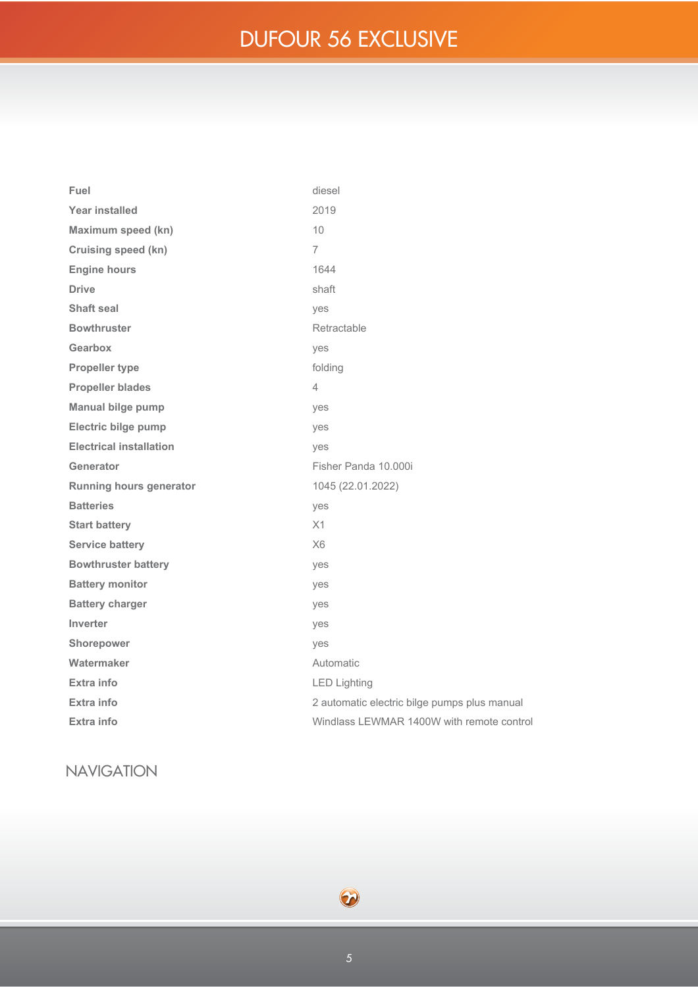| Fuel                           | diesel                                       |
|--------------------------------|----------------------------------------------|
| Year installed                 | 2019                                         |
| Maximum speed (kn)             | 10                                           |
| Cruising speed (kn)            | 7                                            |
| <b>Engine hours</b>            | 1644                                         |
| <b>Drive</b>                   | shaft                                        |
| <b>Shaft seal</b>              | yes                                          |
| <b>Bowthruster</b>             | Retractable                                  |
| Gearbox                        | yes                                          |
| <b>Propeller type</b>          | folding                                      |
| <b>Propeller blades</b>        | $\overline{4}$                               |
| <b>Manual bilge pump</b>       | yes                                          |
| <b>Electric bilge pump</b>     | yes                                          |
| <b>Electrical installation</b> | yes                                          |
| Generator                      | Fisher Panda 10.000i                         |
| Running hours generator        | 1045 (22.01.2022)                            |
| <b>Batteries</b>               | yes                                          |
| <b>Start battery</b>           | X1                                           |
| <b>Service battery</b>         | X <sub>6</sub>                               |
| <b>Bowthruster battery</b>     | yes                                          |
| <b>Battery monitor</b>         | yes                                          |
| <b>Battery charger</b>         | yes                                          |
| Inverter                       | yes                                          |
| Shorepower                     | yes                                          |
| Watermaker                     | Automatic                                    |
| Extra info                     | <b>LED Lighting</b>                          |
| Extra info                     | 2 automatic electric bilge pumps plus manual |
| Extra info                     | Windlass LEWMAR 1400W with remote control    |

### **NAVIGATION**

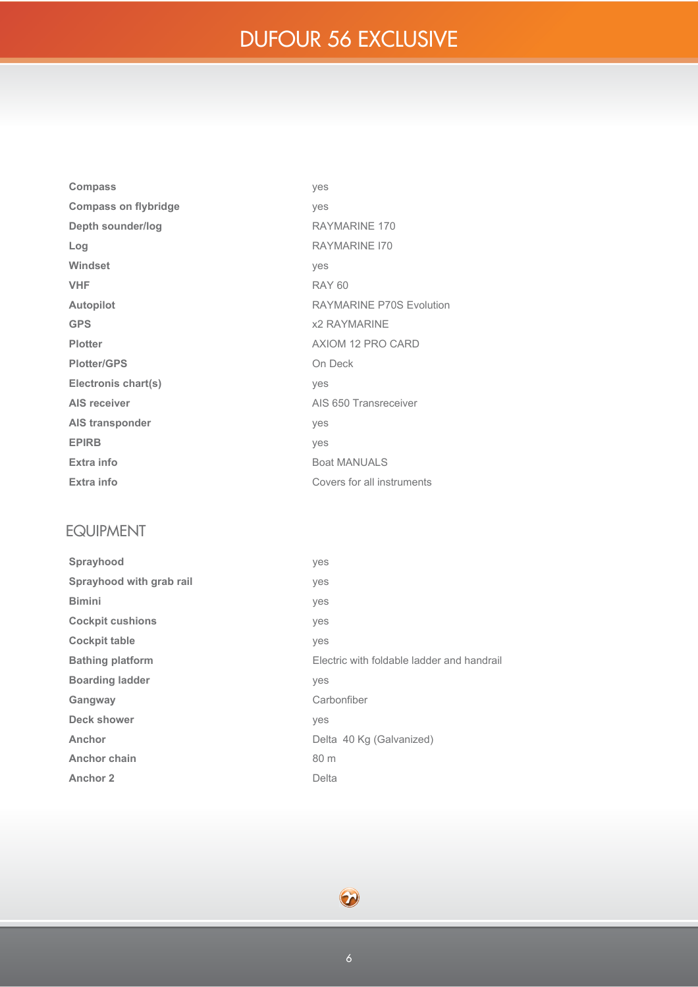| <b>Compass</b>              | yes                             |
|-----------------------------|---------------------------------|
| <b>Compass on flybridge</b> | yes                             |
| Depth sounder/log           | RAYMARINE 170                   |
| Log                         | RAYMARINE 170                   |
| Windset                     | yes                             |
| <b>VHF</b>                  | <b>RAY 60</b>                   |
| <b>Autopilot</b>            | <b>RAYMARINE P70S Evolution</b> |
| <b>GPS</b>                  | x2 RAYMARINE                    |
| <b>Plotter</b>              | AXIOM 12 PRO CARD               |
| <b>Plotter/GPS</b>          | On Deck                         |
| Electronis chart(s)         | yes                             |
| <b>AIS receiver</b>         | AIS 650 Transreceiver           |
| <b>AIS transponder</b>      | yes                             |
| <b>EPIRB</b>                | yes                             |
| Extra info                  | <b>Boat MANUALS</b>             |
| Extra info                  | Covers for all instruments      |

#### **EQUIPMENT**

| Sprayhood                | yes                                        |
|--------------------------|--------------------------------------------|
| Sprayhood with grab rail | yes                                        |
| <b>Bimini</b>            | yes                                        |
| <b>Cockpit cushions</b>  | yes                                        |
| <b>Cockpit table</b>     | yes                                        |
| <b>Bathing platform</b>  | Electric with foldable ladder and handrail |
| <b>Boarding ladder</b>   | yes                                        |
| Gangway                  | Carbonfiber                                |
| Deck shower              | yes                                        |
| Anchor                   | Delta 40 Kg (Galvanized)                   |
| Anchor chain             | 80 m                                       |
| Anchor 2                 | Delta                                      |

 $\bigcirc$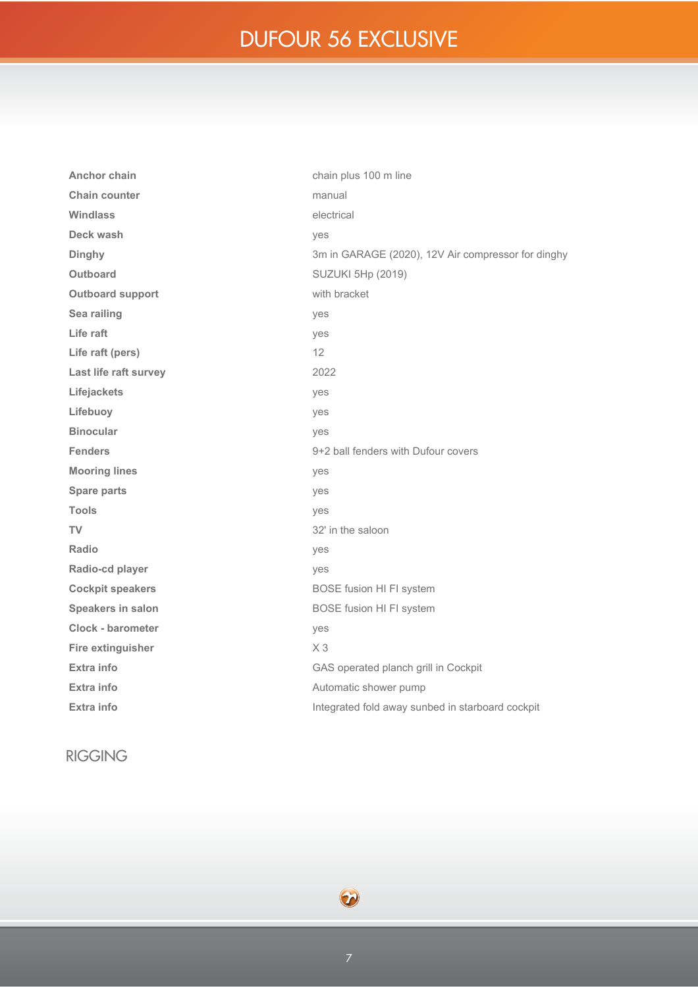| <b>Anchor chain</b>     | chain plus 100 m line                              |
|-------------------------|----------------------------------------------------|
| Chain counter           | manual                                             |
| <b>Windlass</b>         | electrical                                         |
| Deck wash               | yes                                                |
| <b>Dinghy</b>           | 3m in GARAGE (2020), 12V Air compressor for dinghy |
| <b>Outboard</b>         | <b>SUZUKI 5Hp (2019)</b>                           |
| <b>Outboard support</b> | with bracket                                       |
| Sea railing             | yes                                                |
| Life raft               | yes                                                |
| Life raft (pers)        | 12                                                 |
| Last life raft survey   | 2022                                               |
| Lifejackets             | yes                                                |
| Lifebuoy                | yes                                                |
| <b>Binocular</b>        | yes                                                |
| <b>Fenders</b>          | 9+2 ball fenders with Dufour covers                |
| <b>Mooring lines</b>    | yes                                                |
| <b>Spare parts</b>      | yes                                                |
| <b>Tools</b>            | yes                                                |
| <b>TV</b>               | 32' in the saloon                                  |
| Radio                   | yes                                                |
| Radio-cd player         | yes                                                |
| <b>Cockpit speakers</b> | BOSE fusion HI FI system                           |
| Speakers in salon       | BOSE fusion HI FI system                           |
| Clock - barometer       | yes                                                |
| Fire extinguisher       | X <sub>3</sub>                                     |
| Extra info              | GAS operated planch grill in Cockpit               |
| Extra info              | Automatic shower pump                              |
| <b>Extra info</b>       | Integrated fold away sunbed in starboard cockpit   |

### **RIGGING**

 $\odot$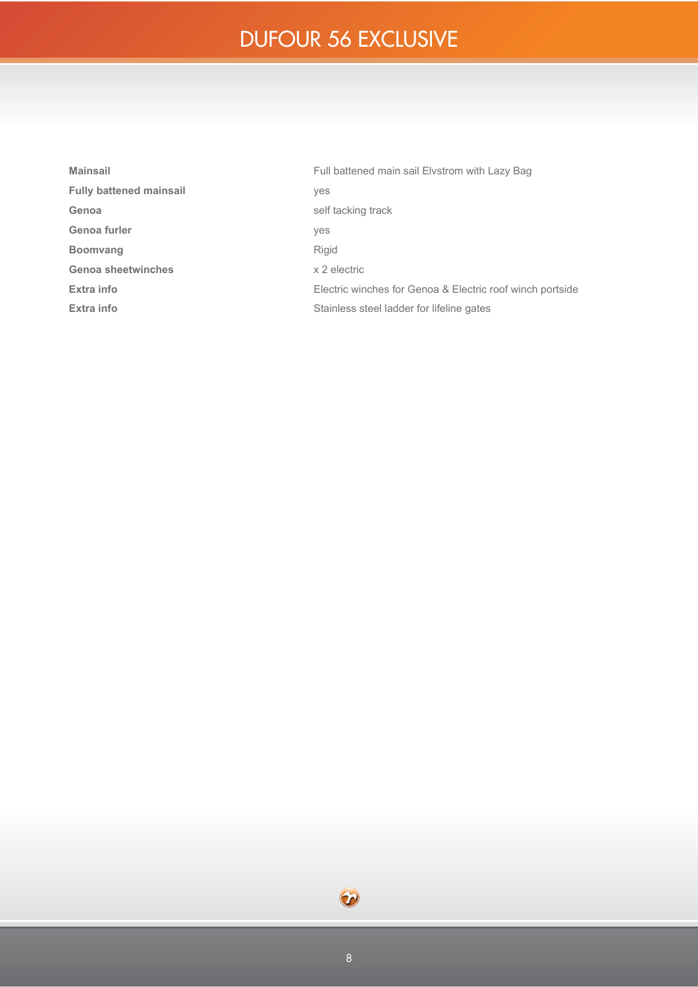| <b>Mainsail</b>                | Full battened main sail Elvstrom with Lazy Bag            |
|--------------------------------|-----------------------------------------------------------|
| <b>Fully battened mainsail</b> | <b>ves</b>                                                |
| Genoa                          | self tacking track                                        |
| Genoa furler                   | yes                                                       |
| <b>Boomvang</b>                | Rigid                                                     |
| <b>Genoa sheetwinches</b>      | x 2 electric                                              |
| Extra info                     | Electric winches for Genoa & Electric roof winch portside |
| Extra info                     | Stainless steel ladder for lifeline gates                 |
|                                |                                                           |

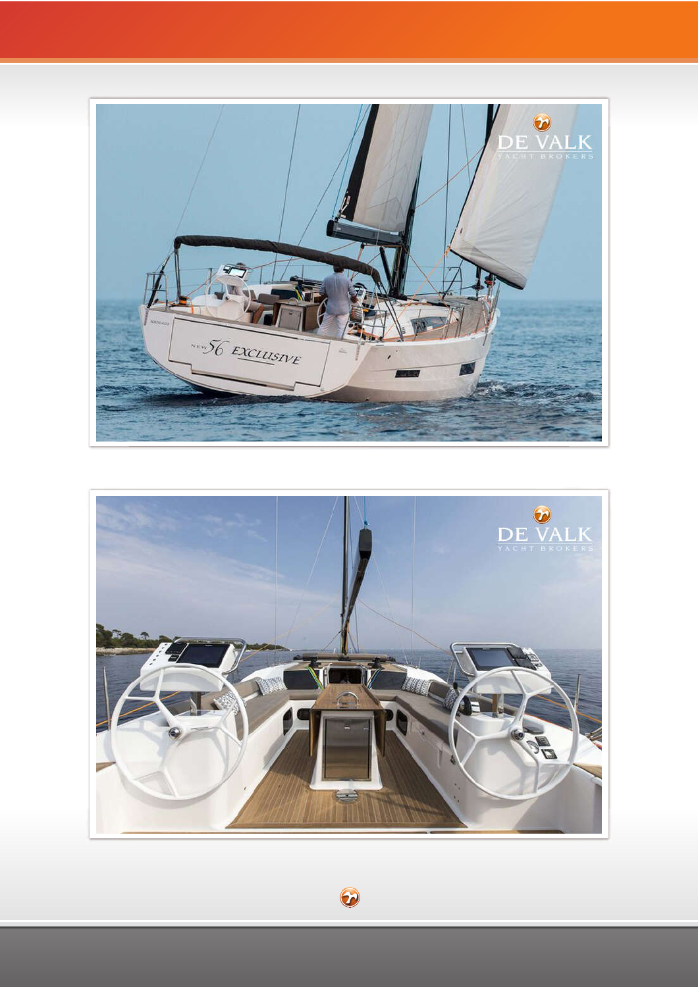# $18)285$  (;  $8/86, 9$  (



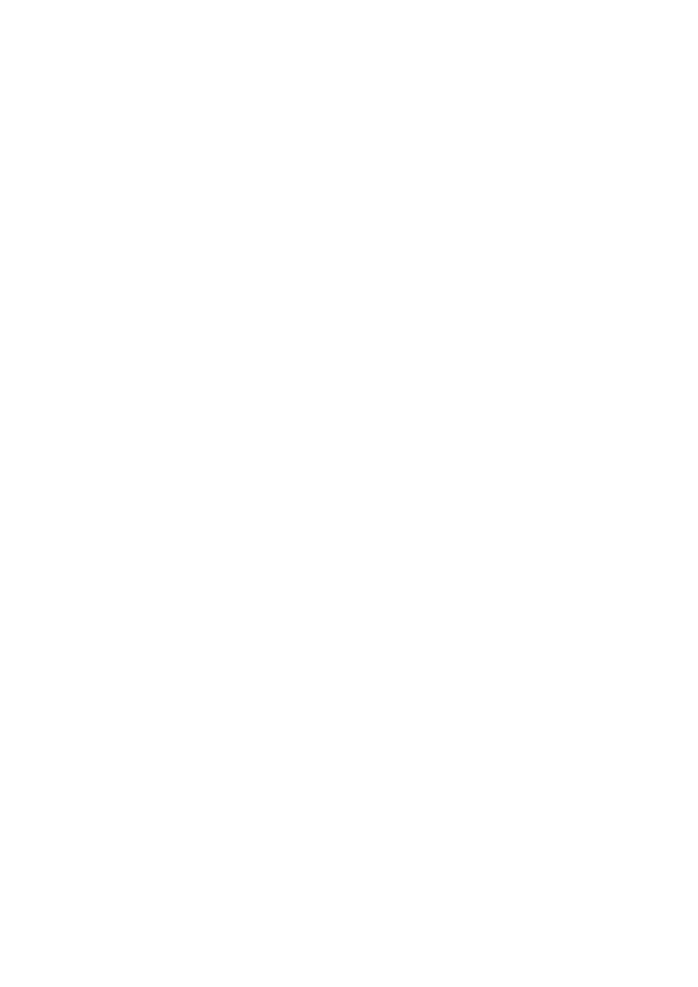| ---- |  |
|------|--|
|      |  |
|      |  |
|      |  |
|      |  |
|      |  |
|      |  |
|      |  |
|      |  |
|      |  |
|      |  |
|      |  |
|      |  |
|      |  |
|      |  |
|      |  |
|      |  |
|      |  |
|      |  |
|      |  |
|      |  |
|      |  |
|      |  |
|      |  |
|      |  |
|      |  |
|      |  |
|      |  |
|      |  |
|      |  |
|      |  |
|      |  |
|      |  |
|      |  |
|      |  |
|      |  |
|      |  |
|      |  |
|      |  |
|      |  |
|      |  |
|      |  |
|      |  |
|      |  |
|      |  |
|      |  |
|      |  |
|      |  |
|      |  |
|      |  |
|      |  |
|      |  |
|      |  |
|      |  |
|      |  |
|      |  |
|      |  |
|      |  |
|      |  |

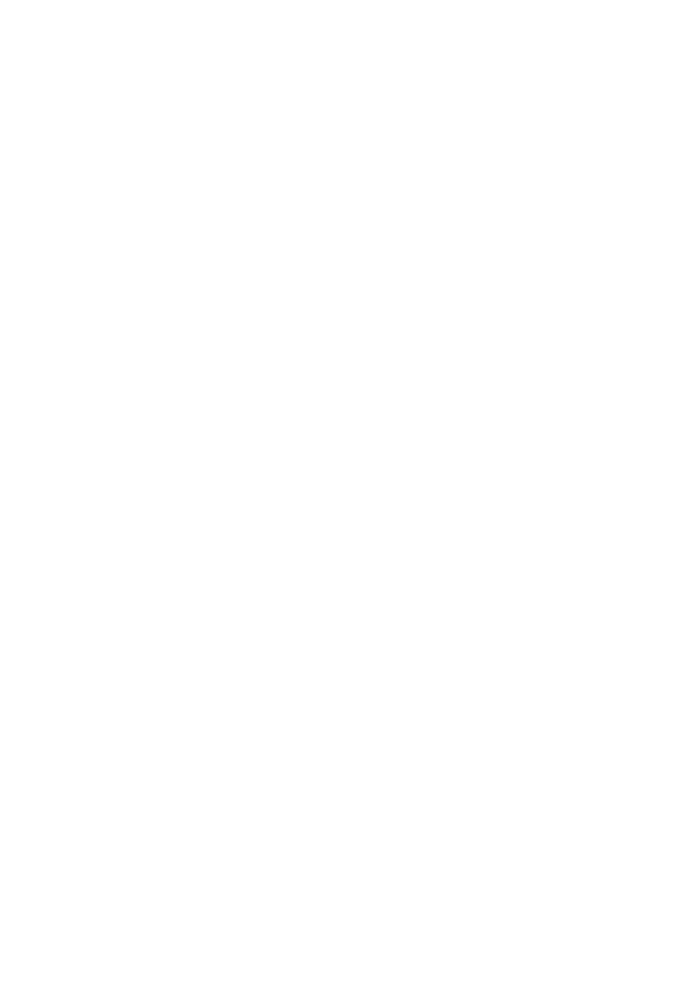| ---- |  |
|------|--|
|      |  |
|      |  |
|      |  |
|      |  |
|      |  |
|      |  |
|      |  |
|      |  |
|      |  |
|      |  |
|      |  |
|      |  |
|      |  |
|      |  |
|      |  |
|      |  |
|      |  |
|      |  |
|      |  |
|      |  |
|      |  |
|      |  |
|      |  |
|      |  |
|      |  |
|      |  |
|      |  |
|      |  |
|      |  |
|      |  |
|      |  |
|      |  |
|      |  |
|      |  |
|      |  |
|      |  |
|      |  |
|      |  |
|      |  |
|      |  |
|      |  |
|      |  |
|      |  |
|      |  |
|      |  |
|      |  |
|      |  |
|      |  |
|      |  |
|      |  |
|      |  |
|      |  |
|      |  |
|      |  |
|      |  |
|      |  |
|      |  |
|      |  |

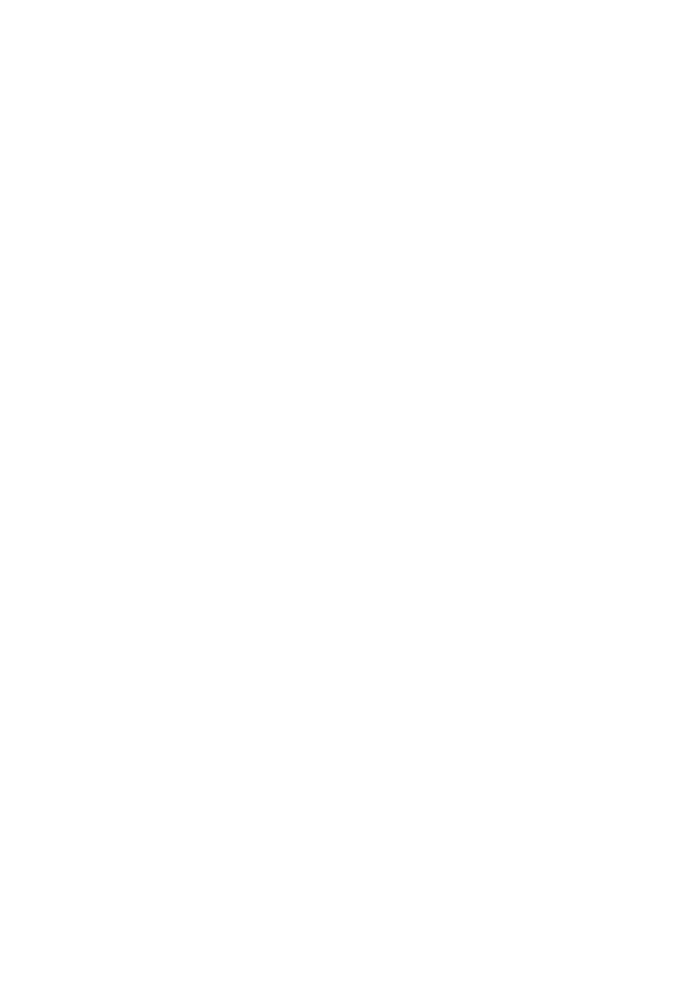| ---- |  |
|------|--|
|      |  |
|      |  |
|      |  |
|      |  |
|      |  |
|      |  |
|      |  |
|      |  |
|      |  |
|      |  |
|      |  |
|      |  |
|      |  |
|      |  |
|      |  |
|      |  |
|      |  |
|      |  |
|      |  |
|      |  |
|      |  |
|      |  |
|      |  |
|      |  |
|      |  |
|      |  |
|      |  |
|      |  |
|      |  |
|      |  |
|      |  |
|      |  |
|      |  |
|      |  |
|      |  |
|      |  |
|      |  |
|      |  |
|      |  |
|      |  |
|      |  |
|      |  |
|      |  |
|      |  |
|      |  |
|      |  |
|      |  |
|      |  |
|      |  |
|      |  |
|      |  |
|      |  |
|      |  |
|      |  |
|      |  |
|      |  |
|      |  |
|      |  |

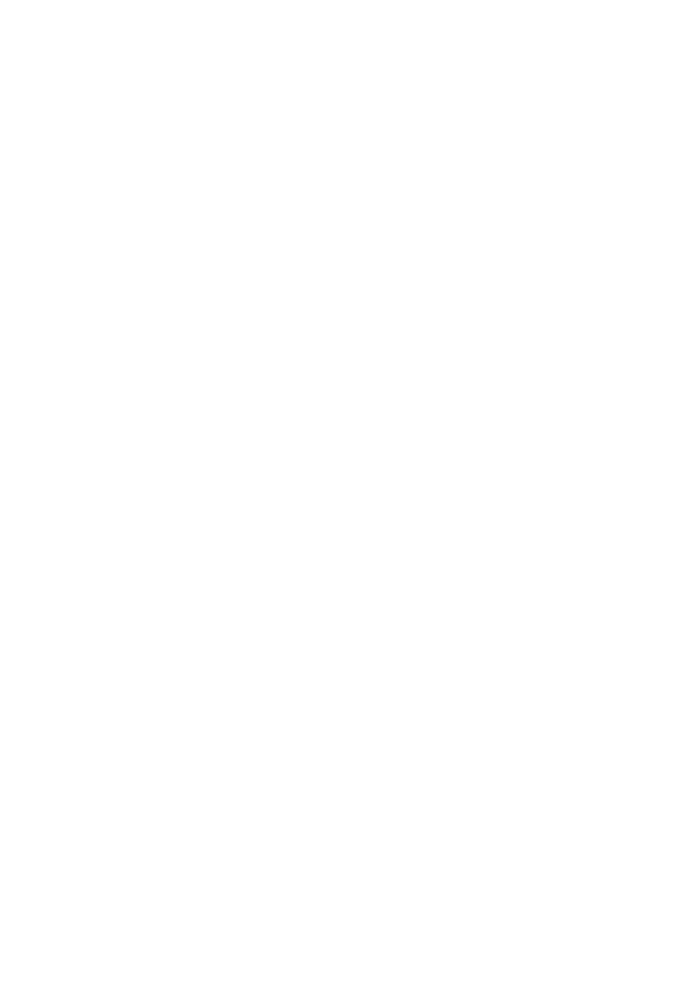| ---- |  |
|------|--|
|      |  |
|      |  |
|      |  |
|      |  |
|      |  |
|      |  |
|      |  |
|      |  |
|      |  |
|      |  |
|      |  |
|      |  |
|      |  |
|      |  |
|      |  |
|      |  |
|      |  |
|      |  |
|      |  |
|      |  |
|      |  |
|      |  |
|      |  |
|      |  |
|      |  |
|      |  |
|      |  |
|      |  |
|      |  |
|      |  |
|      |  |
|      |  |
|      |  |
|      |  |
|      |  |
|      |  |
|      |  |
|      |  |
|      |  |
|      |  |
|      |  |
|      |  |
|      |  |
|      |  |
|      |  |
|      |  |
|      |  |
|      |  |
|      |  |
|      |  |
|      |  |
|      |  |
|      |  |
|      |  |
|      |  |
|      |  |
|      |  |
|      |  |

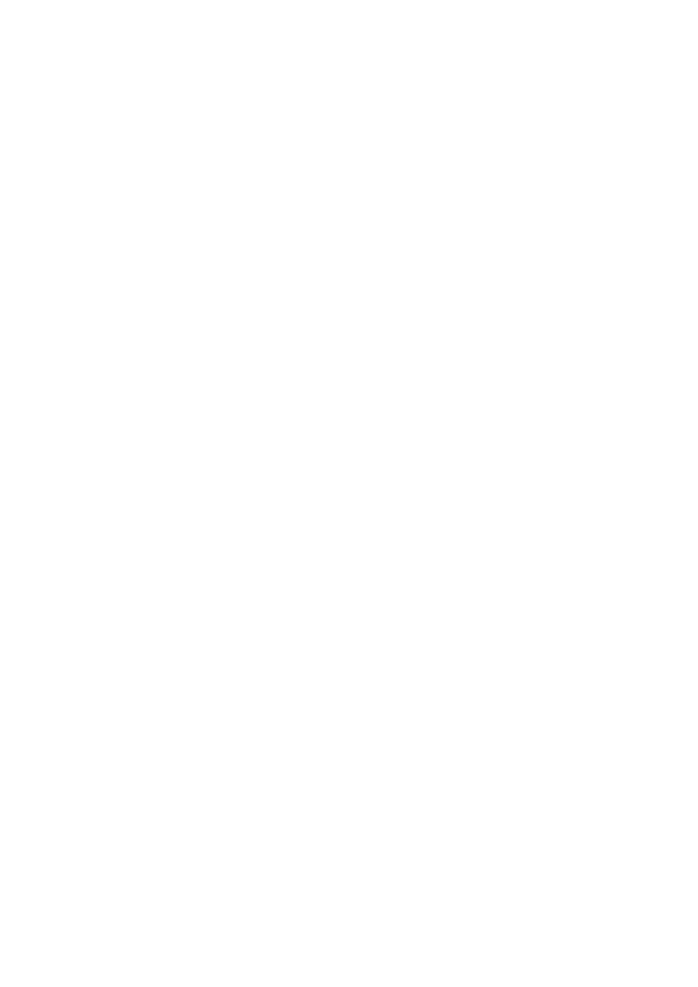| ---- |  |
|------|--|
|      |  |
|      |  |
|      |  |
|      |  |
|      |  |
|      |  |
|      |  |
|      |  |
|      |  |
|      |  |
|      |  |
|      |  |
|      |  |
|      |  |
|      |  |
|      |  |
|      |  |
|      |  |
|      |  |
|      |  |
|      |  |
|      |  |
|      |  |
|      |  |
|      |  |
|      |  |
|      |  |
|      |  |
|      |  |
|      |  |
|      |  |
|      |  |
|      |  |
|      |  |
|      |  |
|      |  |
|      |  |
|      |  |
|      |  |
|      |  |
|      |  |
|      |  |
|      |  |
|      |  |
|      |  |
|      |  |
|      |  |
|      |  |
|      |  |
|      |  |
|      |  |
|      |  |
|      |  |
|      |  |
|      |  |
|      |  |
|      |  |
|      |  |

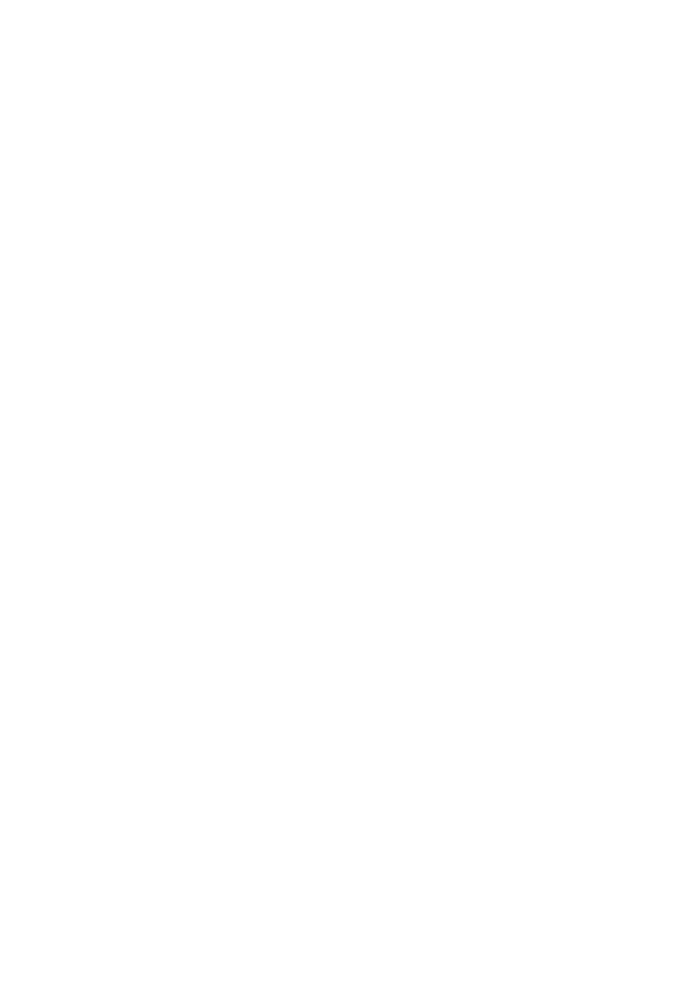| ---- |  |
|------|--|
|      |  |
|      |  |
|      |  |
|      |  |
|      |  |
|      |  |
|      |  |
|      |  |
|      |  |
|      |  |
|      |  |
|      |  |
|      |  |
|      |  |
|      |  |
|      |  |
|      |  |
|      |  |
|      |  |
|      |  |
|      |  |
|      |  |
|      |  |
|      |  |
|      |  |
|      |  |
|      |  |
|      |  |
|      |  |
|      |  |
|      |  |
|      |  |
|      |  |
|      |  |
|      |  |
|      |  |
|      |  |
|      |  |
|      |  |
|      |  |
|      |  |
|      |  |
|      |  |
|      |  |
|      |  |
|      |  |
|      |  |
|      |  |
|      |  |
|      |  |
|      |  |
|      |  |
|      |  |
|      |  |
|      |  |
|      |  |
|      |  |
|      |  |

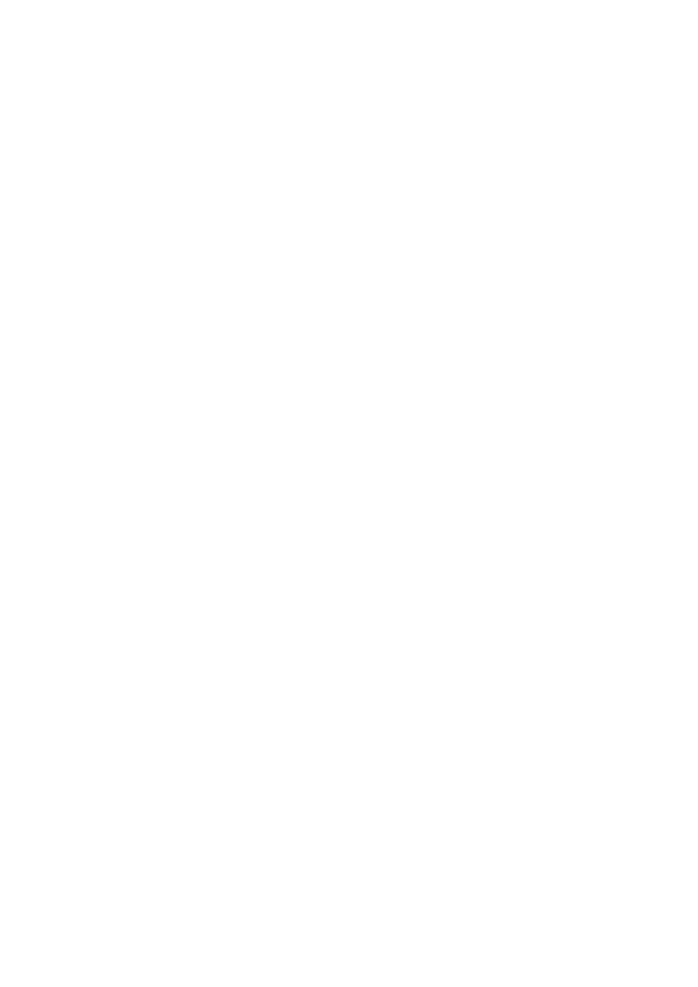| ---- |  |
|------|--|
|      |  |
|      |  |
|      |  |
|      |  |
|      |  |
|      |  |
|      |  |
|      |  |
|      |  |
|      |  |
|      |  |
|      |  |
|      |  |
|      |  |
|      |  |
|      |  |
|      |  |
|      |  |
|      |  |
|      |  |
|      |  |
|      |  |
|      |  |
|      |  |
|      |  |
|      |  |
|      |  |
|      |  |
|      |  |
|      |  |
|      |  |
|      |  |
|      |  |
|      |  |
|      |  |
|      |  |
|      |  |
|      |  |
|      |  |
|      |  |
|      |  |
|      |  |
|      |  |
|      |  |
|      |  |
|      |  |
|      |  |
|      |  |
|      |  |
|      |  |
|      |  |
|      |  |
|      |  |
|      |  |
|      |  |
|      |  |
|      |  |
|      |  |

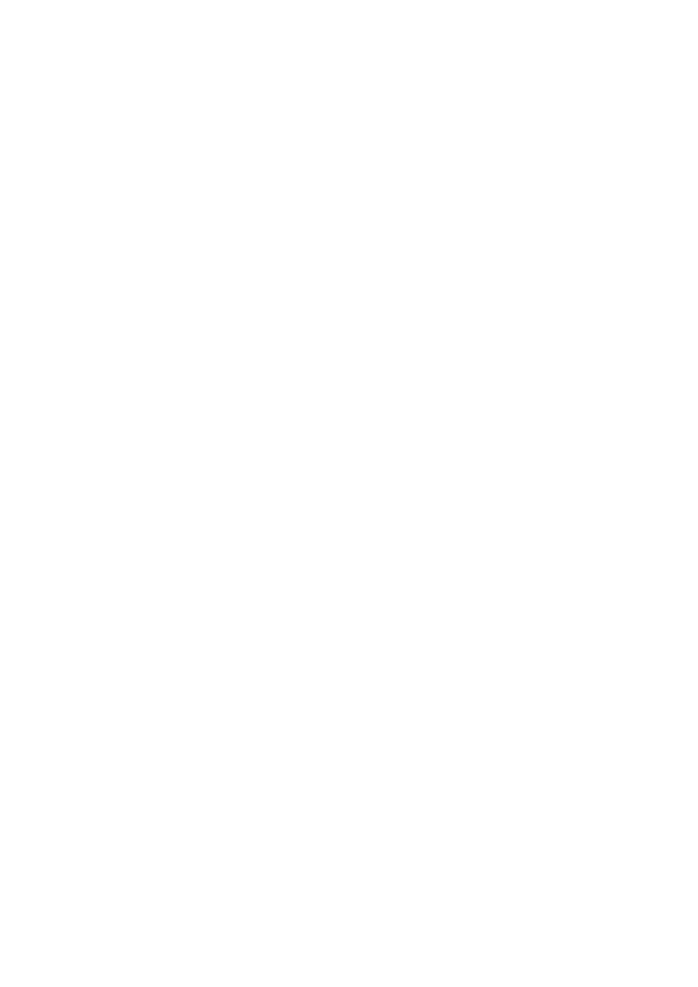| ---- |  |
|------|--|
|      |  |
|      |  |
|      |  |
|      |  |
|      |  |
|      |  |
|      |  |
|      |  |
|      |  |
|      |  |
|      |  |
|      |  |
|      |  |
|      |  |
|      |  |
|      |  |
|      |  |
|      |  |
|      |  |
|      |  |
|      |  |
|      |  |
|      |  |
|      |  |
|      |  |
|      |  |
|      |  |
|      |  |
|      |  |
|      |  |
|      |  |
|      |  |
|      |  |
|      |  |
|      |  |
|      |  |
|      |  |
|      |  |
|      |  |
|      |  |
|      |  |
|      |  |
|      |  |
|      |  |
|      |  |
|      |  |
|      |  |
|      |  |
|      |  |
|      |  |
|      |  |
|      |  |
|      |  |
|      |  |
|      |  |
|      |  |
|      |  |
|      |  |

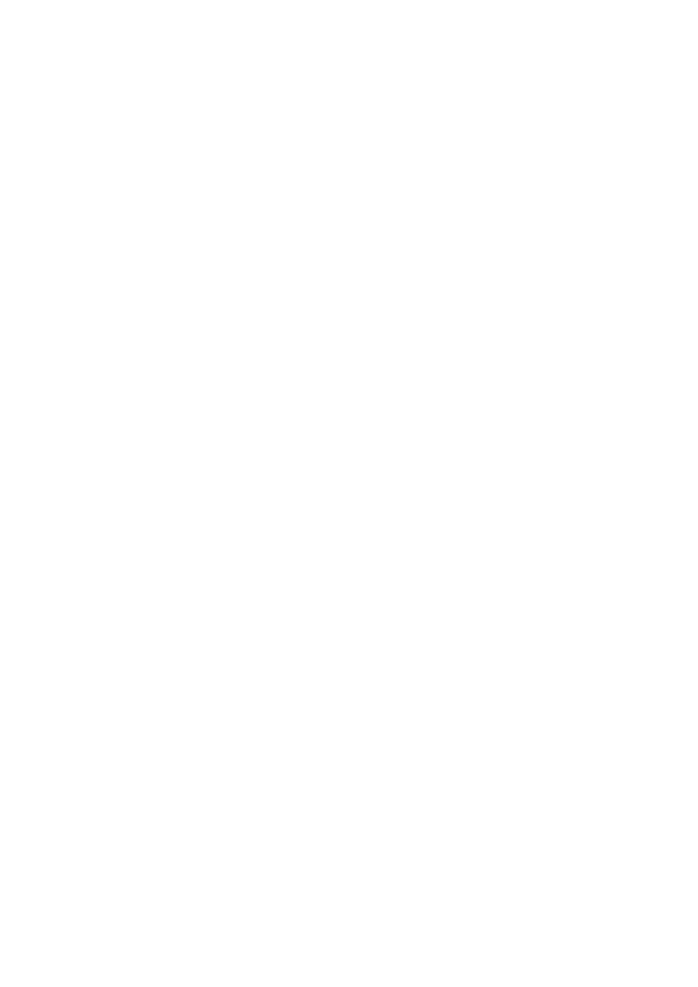| ---- |  |
|------|--|
|      |  |
|      |  |
|      |  |
|      |  |
|      |  |
|      |  |
|      |  |
|      |  |
|      |  |
|      |  |
|      |  |
|      |  |
|      |  |
|      |  |
|      |  |
|      |  |
|      |  |
|      |  |
|      |  |
|      |  |
|      |  |
|      |  |
|      |  |
|      |  |
|      |  |
|      |  |
|      |  |
|      |  |
|      |  |
|      |  |
|      |  |
|      |  |
|      |  |
|      |  |
|      |  |
|      |  |
|      |  |
|      |  |
|      |  |
|      |  |
|      |  |
|      |  |
|      |  |
|      |  |
|      |  |
|      |  |
|      |  |
|      |  |
|      |  |
|      |  |
|      |  |
|      |  |
|      |  |
|      |  |
|      |  |
|      |  |
|      |  |
|      |  |

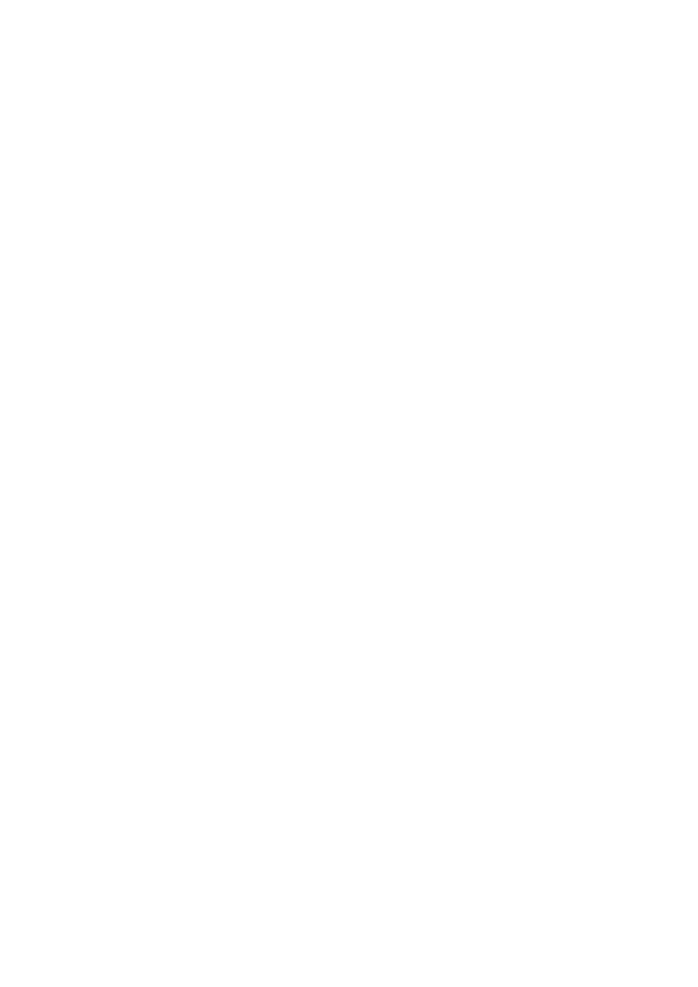| ---- |  |
|------|--|
|      |  |
|      |  |
|      |  |
|      |  |
|      |  |
|      |  |
|      |  |
|      |  |
|      |  |
|      |  |
|      |  |
|      |  |
|      |  |
|      |  |
|      |  |
|      |  |
|      |  |
|      |  |
|      |  |
|      |  |
|      |  |
|      |  |
|      |  |
|      |  |
|      |  |
|      |  |
|      |  |
|      |  |
|      |  |
|      |  |
|      |  |
|      |  |
|      |  |
|      |  |
|      |  |
|      |  |
|      |  |
|      |  |
|      |  |
|      |  |
|      |  |
|      |  |
|      |  |
|      |  |
|      |  |
|      |  |
|      |  |
|      |  |
|      |  |
|      |  |
|      |  |
|      |  |
|      |  |
|      |  |
|      |  |
|      |  |
|      |  |
|      |  |

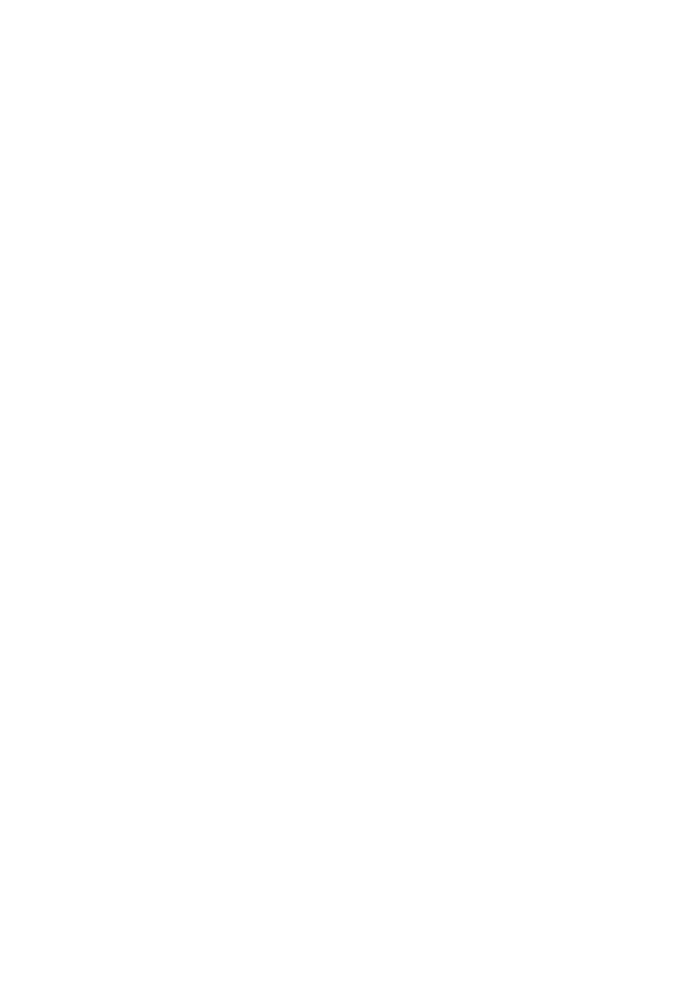| ---- |  |
|------|--|
|      |  |
|      |  |
|      |  |
|      |  |
|      |  |
|      |  |
|      |  |
|      |  |
|      |  |
|      |  |
|      |  |
|      |  |
|      |  |
|      |  |
|      |  |
|      |  |
|      |  |
|      |  |
|      |  |
|      |  |
|      |  |
|      |  |
|      |  |
|      |  |
|      |  |
|      |  |
|      |  |
|      |  |
|      |  |
|      |  |
|      |  |
|      |  |
|      |  |
|      |  |
|      |  |
|      |  |
|      |  |
|      |  |
|      |  |
|      |  |
|      |  |
|      |  |
|      |  |
|      |  |
|      |  |
|      |  |
|      |  |
|      |  |
|      |  |
|      |  |
|      |  |
|      |  |
|      |  |
|      |  |
|      |  |
|      |  |
|      |  |
|      |  |

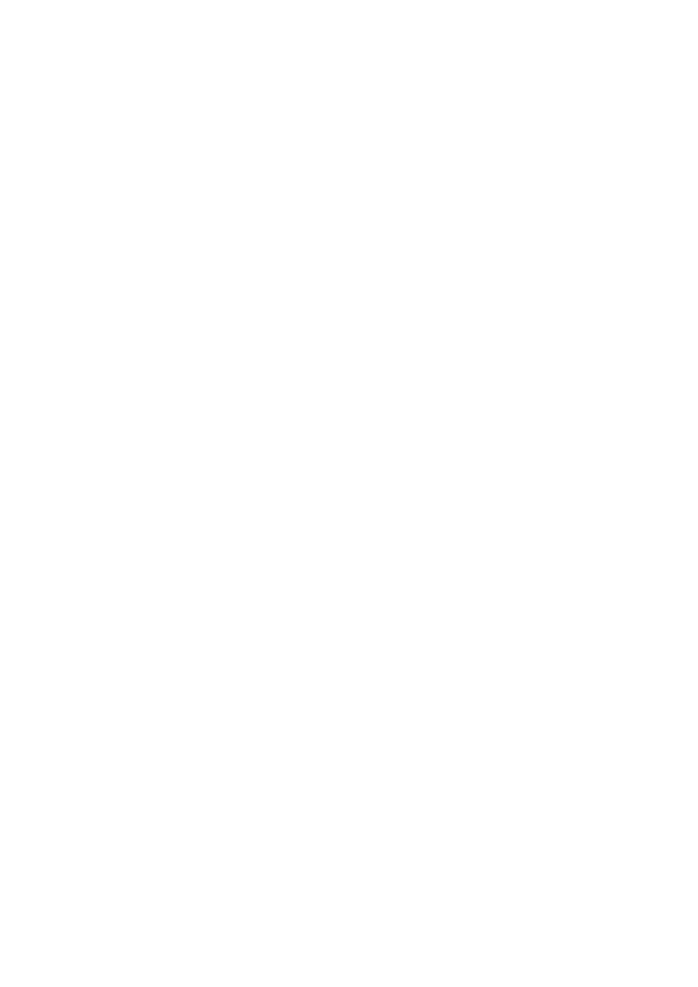| ---- |  |
|------|--|
|      |  |
|      |  |
|      |  |
|      |  |
|      |  |
|      |  |
|      |  |
|      |  |
|      |  |
|      |  |
|      |  |
|      |  |
|      |  |
|      |  |
|      |  |
|      |  |
|      |  |
|      |  |
|      |  |
|      |  |
|      |  |
|      |  |
|      |  |
|      |  |
|      |  |
|      |  |
|      |  |
|      |  |
|      |  |
|      |  |
|      |  |
|      |  |
|      |  |
|      |  |
|      |  |
|      |  |
|      |  |
|      |  |
|      |  |
|      |  |
|      |  |
|      |  |
|      |  |
|      |  |
|      |  |
|      |  |
|      |  |
|      |  |
|      |  |
|      |  |
|      |  |
|      |  |
|      |  |
|      |  |
|      |  |
|      |  |
|      |  |
|      |  |

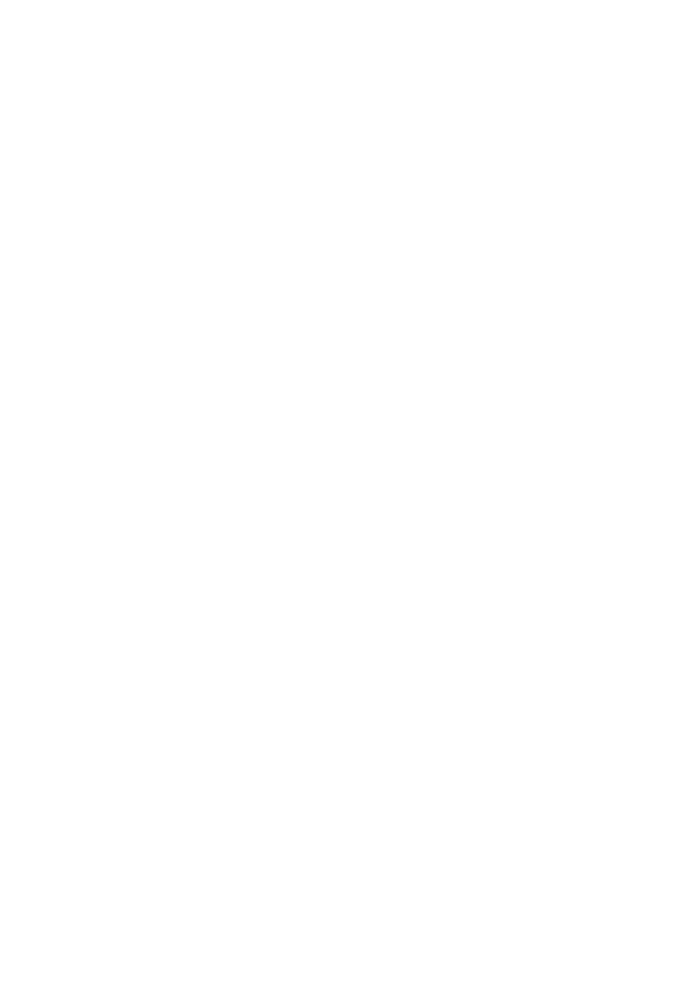| ---- |  |
|------|--|
|      |  |
|      |  |
|      |  |
|      |  |
|      |  |
|      |  |
|      |  |
|      |  |
|      |  |
|      |  |
|      |  |
|      |  |
|      |  |
|      |  |
|      |  |
|      |  |
|      |  |
|      |  |
|      |  |
|      |  |
|      |  |
|      |  |
|      |  |
|      |  |
|      |  |
|      |  |
|      |  |
|      |  |
|      |  |
|      |  |
|      |  |
|      |  |
|      |  |
|      |  |
|      |  |
|      |  |
|      |  |
|      |  |
|      |  |
|      |  |
|      |  |
|      |  |
|      |  |
|      |  |
|      |  |
|      |  |
|      |  |
|      |  |
|      |  |
|      |  |
|      |  |
|      |  |
|      |  |
|      |  |
|      |  |
|      |  |
|      |  |
|      |  |

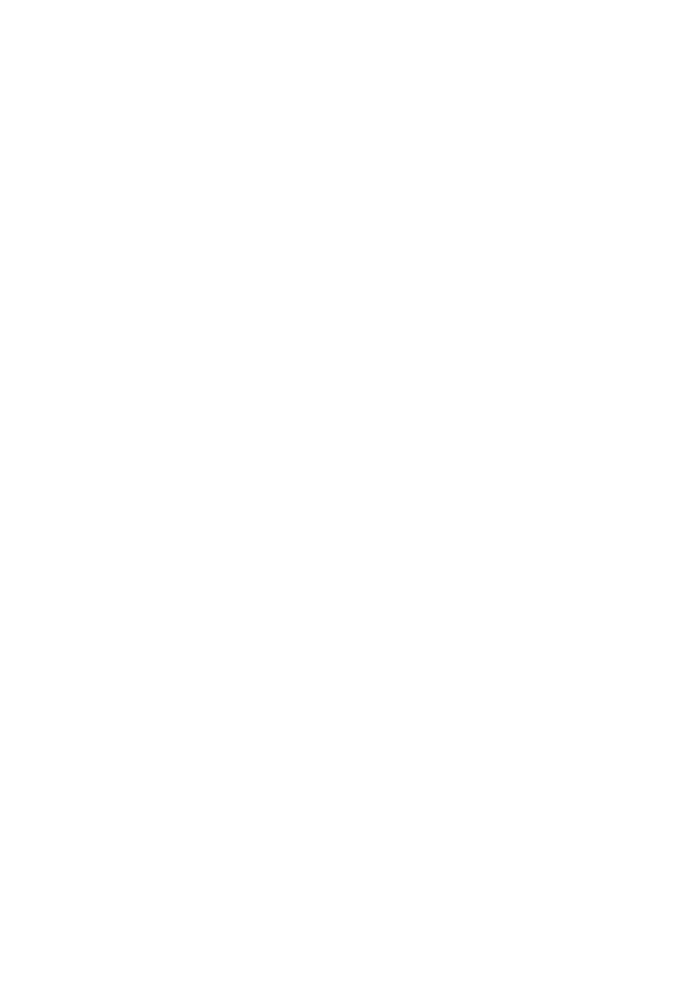| ---- |  |
|------|--|
|      |  |
|      |  |
|      |  |
|      |  |
|      |  |
|      |  |
|      |  |
|      |  |
|      |  |
|      |  |
|      |  |
|      |  |
|      |  |
|      |  |
|      |  |
|      |  |
|      |  |
|      |  |
|      |  |
|      |  |
|      |  |
|      |  |
|      |  |
|      |  |
|      |  |
|      |  |
|      |  |
|      |  |
|      |  |
|      |  |
|      |  |
|      |  |
|      |  |
|      |  |
|      |  |
|      |  |
|      |  |
|      |  |
|      |  |
|      |  |
|      |  |
|      |  |
|      |  |
|      |  |
|      |  |
|      |  |
|      |  |
|      |  |
|      |  |
|      |  |
|      |  |
|      |  |
|      |  |
|      |  |
|      |  |
|      |  |
|      |  |
|      |  |

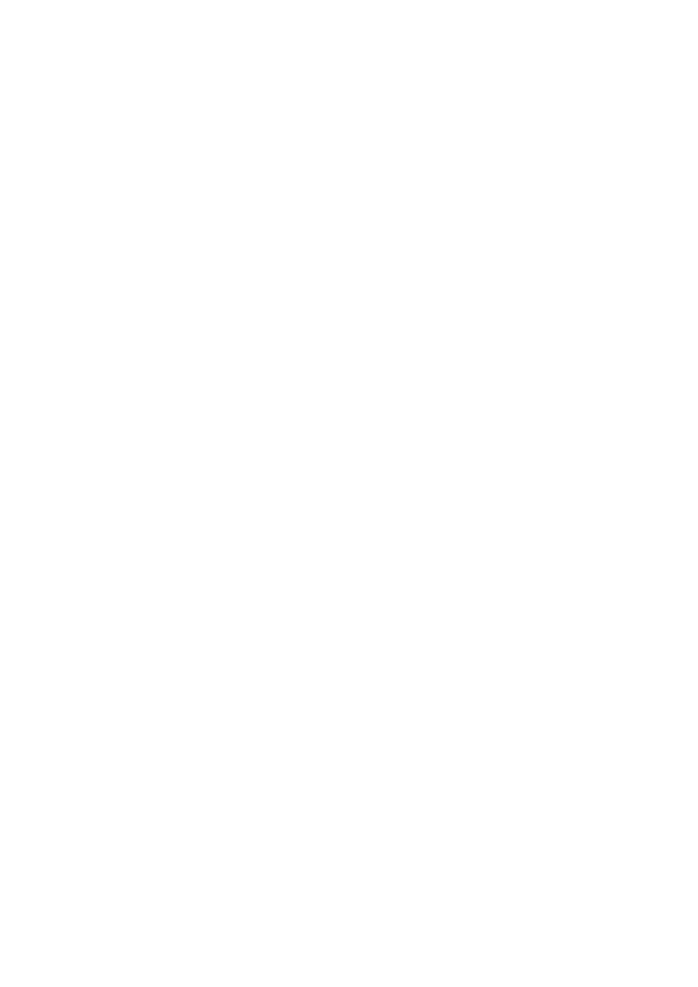| ---- |  |
|------|--|
|      |  |
|      |  |
|      |  |
|      |  |
|      |  |
|      |  |
|      |  |
|      |  |
|      |  |
|      |  |
|      |  |
|      |  |
|      |  |
|      |  |
|      |  |
|      |  |
|      |  |
|      |  |
|      |  |
|      |  |
|      |  |
|      |  |
|      |  |
|      |  |
|      |  |
|      |  |
|      |  |
|      |  |
|      |  |
|      |  |
|      |  |
|      |  |
|      |  |
|      |  |
|      |  |
|      |  |
|      |  |
|      |  |
|      |  |
|      |  |
|      |  |
|      |  |
|      |  |
|      |  |
|      |  |
|      |  |
|      |  |
|      |  |
|      |  |
|      |  |
|      |  |
|      |  |
|      |  |
|      |  |
|      |  |
|      |  |
|      |  |
|      |  |

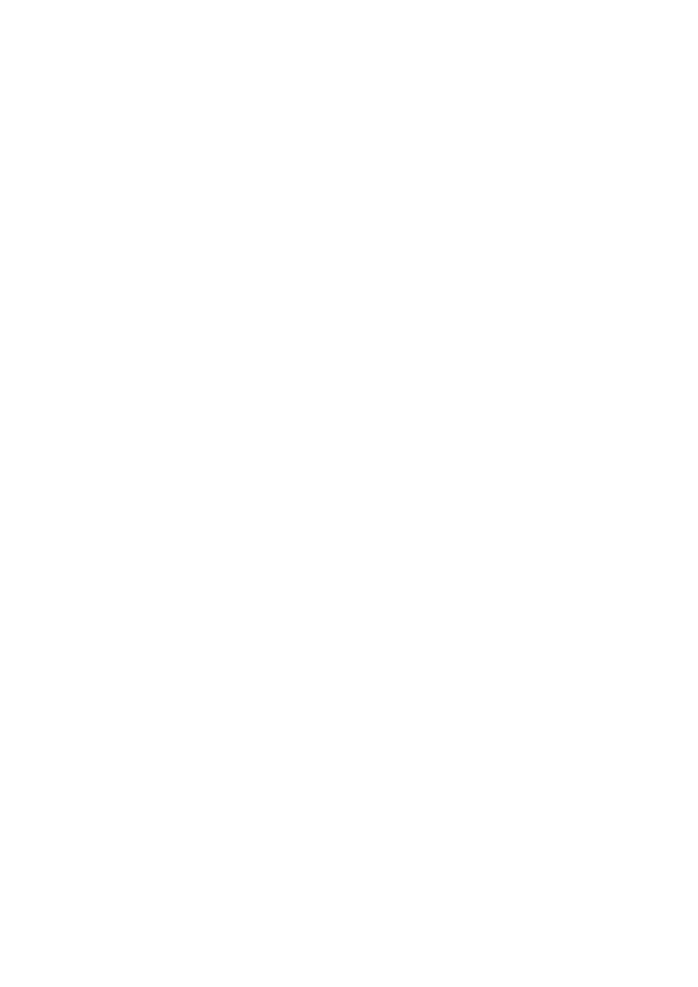| ---- |  |
|------|--|
|      |  |
|      |  |
|      |  |
|      |  |
|      |  |
|      |  |
|      |  |
|      |  |
|      |  |
|      |  |
|      |  |
|      |  |
|      |  |
|      |  |
|      |  |
|      |  |
|      |  |
|      |  |
|      |  |
|      |  |
|      |  |
|      |  |
|      |  |
|      |  |
|      |  |
|      |  |
|      |  |
|      |  |
|      |  |
|      |  |
|      |  |
|      |  |
|      |  |
|      |  |
|      |  |
|      |  |
|      |  |
|      |  |
|      |  |
|      |  |
|      |  |
|      |  |
|      |  |
|      |  |
|      |  |
|      |  |
|      |  |
|      |  |
|      |  |
|      |  |
|      |  |
|      |  |
|      |  |
|      |  |
|      |  |
|      |  |
|      |  |
|      |  |

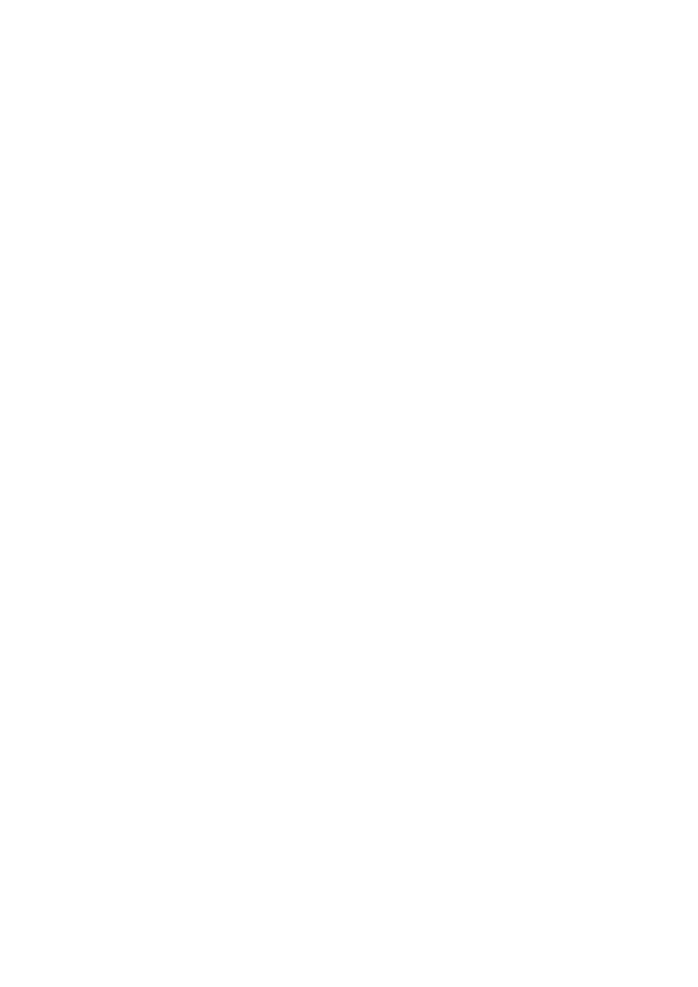| ---- |  |
|------|--|
|      |  |
|      |  |
|      |  |
|      |  |
|      |  |
|      |  |
|      |  |
|      |  |
|      |  |
|      |  |
|      |  |
|      |  |
|      |  |
|      |  |
|      |  |
|      |  |
|      |  |
|      |  |
|      |  |
|      |  |
|      |  |
|      |  |
|      |  |
|      |  |
|      |  |
|      |  |
|      |  |
|      |  |
|      |  |
|      |  |
|      |  |
|      |  |
|      |  |
|      |  |
|      |  |
|      |  |
|      |  |
|      |  |
|      |  |
|      |  |
|      |  |
|      |  |
|      |  |
|      |  |
|      |  |
|      |  |
|      |  |
|      |  |
|      |  |
|      |  |
|      |  |
|      |  |
|      |  |
|      |  |
|      |  |
|      |  |
|      |  |
|      |  |